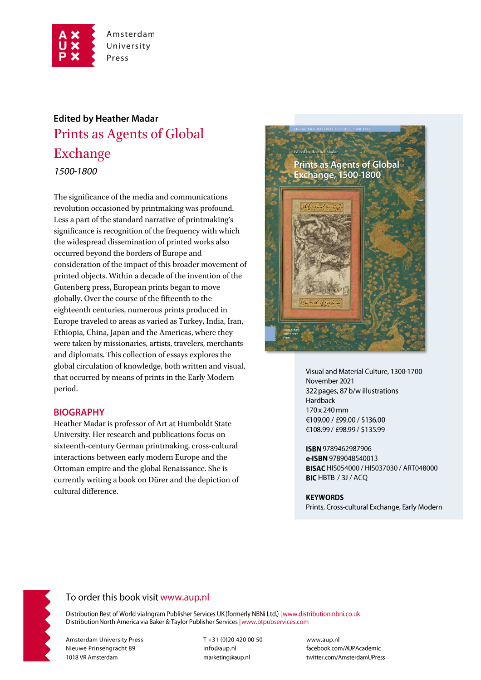

# **Edited by Heather Madar** Prints as Agents of Global Exchange 1500-1800

The significance of the media and communications revolution occasioned by printmaking was profound. Less a part of the standard narrative of printmaking's significance is recognition of the frequency with which the widespread dissemination of printed works also occurred beyond the borders of Europe and consideration of the impact of this broader movement of printed objects. Within a decade of the invention of the Gutenberg press, European prints began to move globally. Over the course of the fifteenth to the eighteenth centuries, numerous prints produced in Europe traveled to areas as varied as Turkey, India, Iran, Ethiopia, China, Japan and the Americas, where they were taken by missionaries, artists, travelers, merchants and diplomats. This collection of essays explores the global circulation of knowledge, both written and visual, that occurred by means of prints in the Early Modern period.

#### **BIOGRAPHY**

Heather Madar is professor of Art at Humboldt State University. Her research and publications focus on sixteenth-century German printmaking, cross-cultural interactions between early modern Europe and the Ottoman empire and the global Renaissance. She is currently writing a book on Dürer and the depiction of cultural difference.



Visual and Material Culture, 1300-1700 November 2021 322 pages, 87 b/w illustrations Hardback 170 x 240 mm €109.00 / £99.00 / \$136.00 €108.99 / £98.99 / \$135.99

ISBN 9789462987906 e-ISBN 9789048540013 BISAC HIS054000 / HIS037030 / ART048000 BIC HBTB / 3J / ACQ

#### **KEYWORDS**

Prints, Cross-cultural Exchange, Early Modern



## To order this book visit www.aup.nl

Distribution Rest of World via Ingram Publisher Services UK (formerly NBNi Ltd.) | www.distribution.nbni.co.uk Distribution North America via Baker & Taylor Publisher Services | www.btpubservices.com

**Amsterdam University Press** Nieuwe Prinsengracht 89 1018 VR Amsterdam

T+31 (0)20 420 00 50 info@aup.nl marketing@aup.nl

www.aup.nl facebook.com/AUPAcademic twitter.com/AmsterdamUPress